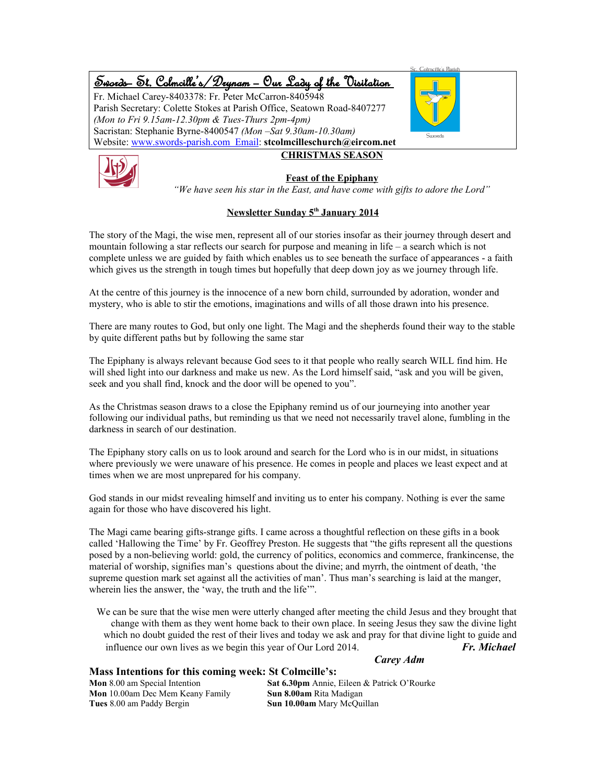### Swords – St. Colmcille's /Drynam – Our Lady of the Visitation Fr. Michael Carey-8403378: Fr. Peter McCarron-8405948 Parish Secretary: Colette Stokes at Parish Office, Seatown Road-8407277 *(Mon to Fri 9.15am-12.30pm & Tues-Thurs 2pm-4pm)* Sacristan: Stephanie Byrne-8400547 *(Mon –Sat 9.30am-10.30am)* Website: www.swords-parish.com Email: **stcolmcilleschurch@eircom.net CHRISTMAS SEASON**



#### **Feast of the Epiphany**

*"We have seen his star in the East, and have come with gifts to adore the Lord"*

#### **Newsletter Sunday 5th January 2014**

The story of the Magi, the wise men, represent all of our stories insofar as their journey through desert and mountain following a star reflects our search for purpose and meaning in life – a search which is not complete unless we are guided by faith which enables us to see beneath the surface of appearances - a faith which gives us the strength in tough times but hopefully that deep down joy as we journey through life.

At the centre of this journey is the innocence of a new born child, surrounded by adoration, wonder and mystery, who is able to stir the emotions, imaginations and wills of all those drawn into his presence.

There are many routes to God, but only one light. The Magi and the shepherds found their way to the stable by quite different paths but by following the same star

The Epiphany is always relevant because God sees to it that people who really search WILL find him. He will shed light into our darkness and make us new. As the Lord himself said, "ask and you will be given, seek and you shall find, knock and the door will be opened to you".

As the Christmas season draws to a close the Epiphany remind us of our journeying into another year following our individual paths, but reminding us that we need not necessarily travel alone, fumbling in the darkness in search of our destination.

The Epiphany story calls on us to look around and search for the Lord who is in our midst, in situations where previously we were unaware of his presence. He comes in people and places we least expect and at times when we are most unprepared for his company.

God stands in our midst revealing himself and inviting us to enter his company. Nothing is ever the same again for those who have discovered his light.

The Magi came bearing gifts-strange gifts. I came across a thoughtful reflection on these gifts in a book called 'Hallowing the Time' by Fr. Geoffrey Preston. He suggests that "the gifts represent all the questions posed by a non-believing world: gold, the currency of politics, economics and commerce, frankincense, the material of worship, signifies man's questions about the divine; and myrrh, the ointment of death, 'the supreme question mark set against all the activities of man'. Thus man's searching is laid at the manger, wherein lies the answer, the 'way, the truth and the life'".

We can be sure that the wise men were utterly changed after meeting the child Jesus and they brought that change with them as they went home back to their own place. In seeing Jesus they saw the divine light which no doubt guided the rest of their lives and today we ask and pray for that divine light to guide and influence our own lives as we begin this year of Our Lord 2014. *Fr. Michael*

*Carey Adm*

#### **Mass Intentions for this coming week: St Colmcille's:**

**Mon** 10.00am Dec Mem Keany Family **Sun 8.00am** Rita Madigan **Tues** 8.00 am Paddy Bergin **Sun 10.00am** Mary McQuillan

**Mon** 8.00 am Special Intention **Sat 6.30pm** Annie, Eileen & Patrick O'Rourke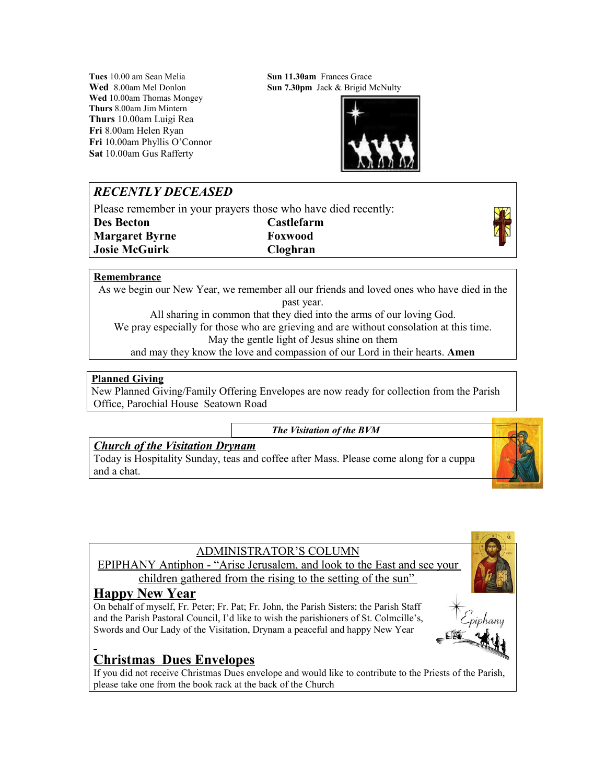**Tues** 10.00 am Sean Melia **Sun 11.30am Frances Grace Wed** 10.00am Thomas Mongey **Thurs** 8.00am Jim Mintern **Thurs** 10.00am Luigi Rea **Fri** 8.00am Helen Ryan **Fri** 10.00am Phyllis O'Connor **Sat** 10.00am Gus Rafferty

**Wed** 8.00am Mel Donlon **Sun 7.30pm** Jack & Brigid McNulty



# *RECENTLY DECEASED*

Please remember in your prayers those who have died recently:

**Des Becton Castlefarm Margaret Byrne Foxwood Josie McGuirk Cloghran**



### **Remembrance**

As we begin our New Year, we remember all our friends and loved ones who have died in the past year. All sharing in common that they died into the arms of our loving God.

We pray especially for those who are grieving and are without consolation at this time. May the gentle light of Jesus shine on them

and may they know the love and compassion of our Lord in their hearts. **Amen**

### **Planned Giving**

New Planned Giving/Family Offering Envelopes are now ready for collection from the Parish Office, Parochial House Seatown Road

*The Visitation of the BVM*

## *Church of the Visitation Drynam*

Today is Hospitality Sunday, teas and coffee after Mass. Please come along for a cuppa and a chat.



## ADMINISTRATOR'S COLUMN

EPIPHANY Antiphon - "Arise Jerusalem, and look to the East and see your children gathered from the rising to the setting of the sun"

# **Happy New Year**

On behalf of myself, Fr. Peter; Fr. Pat; Fr. John, the Parish Sisters; the Parish Staff and the Parish Pastoral Council, I'd like to wish the parishioners of St. Colmcille's, Swords and Our Lady of the Visitation, Drynam a peaceful and happy New Year



If you did not receive Christmas Dues envelope and would like to contribute to the Priests of the Parish, please take one from the book rack at the back of the Church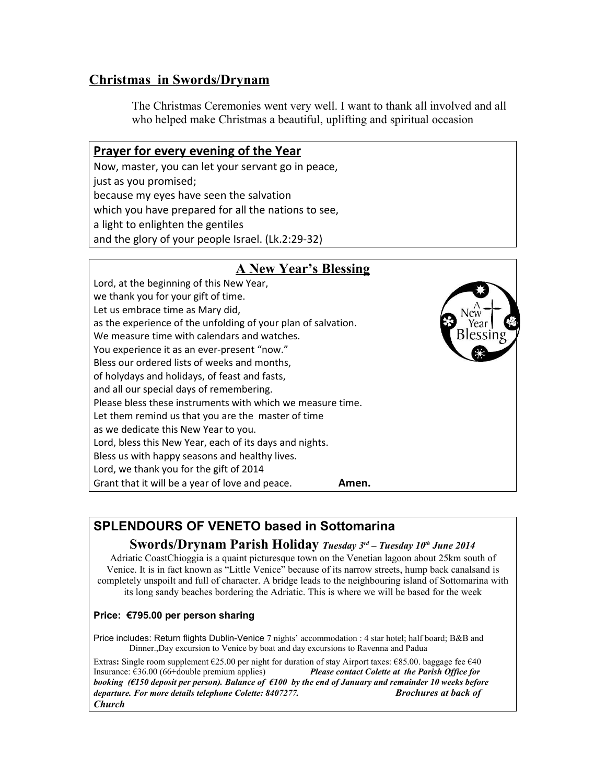# **Christmas in Swords/Drynam**

just as you promised;

**Prayer for every evening of the Year**

because my eyes have seen the salvation

Now, master, you can let your servant go in peace,

The Christmas Ceremonies went very well. I want to thank all involved and all who helped make Christmas a beautiful, uplifting and spiritual occasion

## which you have prepared for all the nations to see, a light to enlighten the gentiles and the glory of your people Israel. (Lk.2:29-32) **A New Year's Blessing** Lord, at the beginning of this New Year, we thank you for your gift of time. Let us embrace time as Mary did, as the experience of the unfolding of your plan of salvation. We measure time with calendars and watches. You experience it as an ever-present "now." Bless our ordered lists of weeks and months, of holydays and holidays, of feast and fasts, and all our special days of remembering. Please bless these instruments with which we measure time. Let them remind us that you are the master of time as we dedicate this New Year to you. Lord, bless this New Year, each of its days and nights. Bless us with happy seasons and healthy lives. Lord, we thank you for the gift of 2014 Grant that it will be a year of love and peace. **Amen.**

# **SPLENDOURS OF VENETO based in Sottomarina**

## **Swords/Drynam Parish Holiday** *Tuesday 3rd – Tuesday 10th June 2014*

Adriatic CoastChioggia is a quaint picturesque town on the Venetian lagoon about 25km south of Venice. It is in fact known as "Little Venice" because of its narrow streets, hump back canalsand is completely unspoilt and full of character. A bridge leads to the neighbouring island of Sottomarina with its long sandy beaches bordering the Adriatic. This is where we will be based for the week

### **Price: €795.00 per person sharing**

Price includes: Return flights Dublin-Venice 7 nights' accommodation : 4 star hotel; half board; B&B and Dinner.,Day excursion to Venice by boat and day excursions to Ravenna and Padua

Extras**:** Single room supplement €25.00 per night for duration of stay Airport taxes: €85.00. baggage fee €40 Insurance: €36.00 (66+double premium applies)*Please contact Colette at the Parish Office for booking (€150 deposit per person). Balance of €100 by the end of January and remainder 10 weeks before departure. For more details telephone Colette: 8407277. Brochures at back of Church*